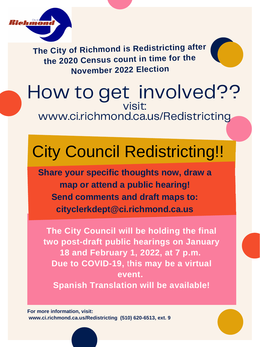# How to get involved?? visit: [www.ci.richmond.ca.us/Redistricting](http://www.ci.richmond.ca.us/Redistricting)

**Share your specific thoughts now, draw a**

**map or attend a public hearing! Send comments and draft maps to: cityclerkdept@ci.richmond.ca.us**

**For more information, visit: [www.ci.richmond.ca.us/Redistricting](http://www.ci.richmond.ca.us/Redistricting) (510) 620-6513, ext. 9**

**The City Council will be holding the final two post-draft public hearings on January 18 and February 1, 2022, at 7 p.m. Due to COVID-19,** t**his may be a virtual event. Spanish Translation will be available!**



**The City of Richmond is Redistricting after the 2020 Census count in time for the November 2022 Election**



# City Council Redistricting!!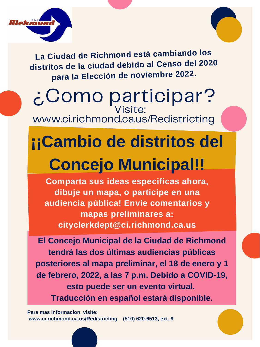¿Como participar? Visite: [www.ci.richmond.ca.us/Redistricting](http://www.ci.richmond.ca.us/Redistricting)

**¡¡Cambio de distritos del Concejo Municipal!!**

**Para mas informacion, visite: [www.ci.richmond.ca.us/Redistricting](http://www.ci.richmond.ca.us/Redistricting) (510) 620-6513, ext. 9**

**Comparta sus ideas especificas ahora, dibuje un mapa, o participe en una audiencia pública! Envíe comentarios y mapas preliminares a: [cityclerkdept@ci.richmond.ca.us](mailto:cityclerkdept@ci.richmond.ca.us)**





**La Ciudad de Richmond está cambiando los distritos de la ciudad debido al Censo del <sup>2020</sup> para la Elección de noviembre 2022.**

**El Concejo Municipal de la Ciudad de Richmond tendrá las dos últimas audiencias públicas posteriores al mapa preliminar, el 18 de enero y 1 de febrero, 2022, a las 7 p.m. Debido a COVID-19, esto puede ser un evento virtual. Traducción en español estará disponible.**